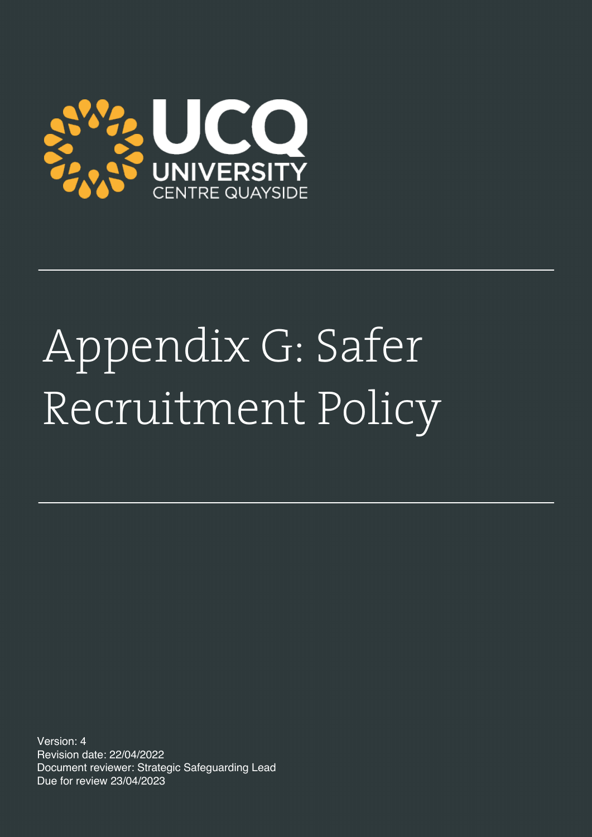

# Appendix G: Safer Recruitment Policy

Version: 4 Revision date: 22/04/2022 Document reviewer: Strategic Safeguarding Lead Due for review 23/04/2023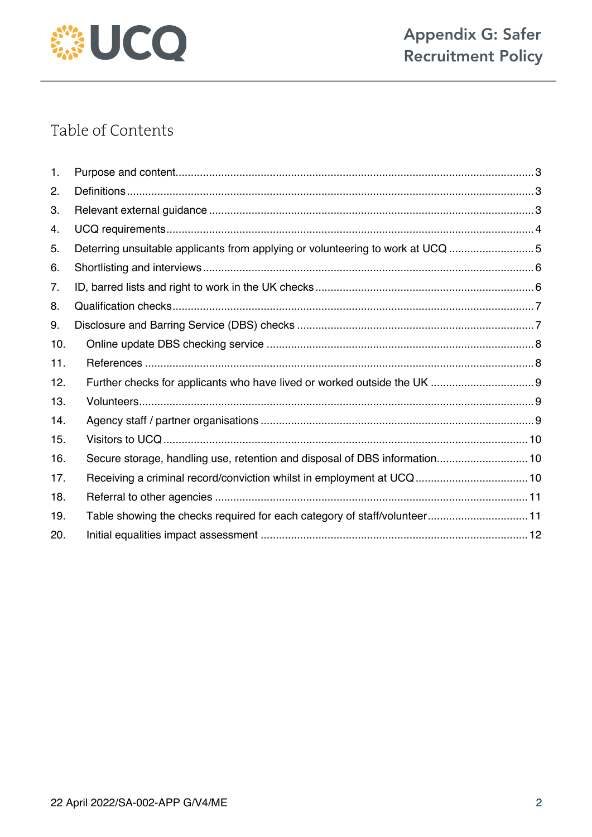

# Table of Contents

| 1.  |                                                                                |  |
|-----|--------------------------------------------------------------------------------|--|
| 2.  |                                                                                |  |
| 3.  |                                                                                |  |
| 4.  |                                                                                |  |
| 5.  | Deterring unsuitable applicants from applying or volunteering to work at UCQ 5 |  |
| 6.  |                                                                                |  |
| 7.  |                                                                                |  |
| 8.  |                                                                                |  |
| 9.  |                                                                                |  |
| 10. |                                                                                |  |
| 11. |                                                                                |  |
| 12. |                                                                                |  |
| 13. |                                                                                |  |
| 14. |                                                                                |  |
| 15. |                                                                                |  |
| 16. | Secure storage, handling use, retention and disposal of DBS information 10     |  |
| 17. |                                                                                |  |
| 18. |                                                                                |  |
| 19. | Table showing the checks required for each category of staff/volunteer 11      |  |
| 20. |                                                                                |  |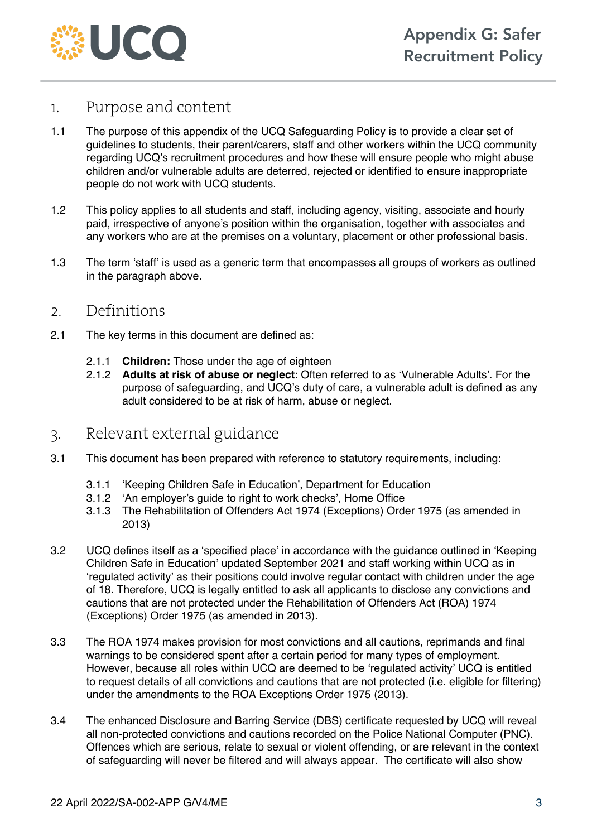

#### 1. Purpose and content

- 1.1 The purpose of this appendix of the UCQ Safeguarding Policy is to provide a clear set of guidelines to students, their parent/carers, staff and other workers within the UCQ community regarding UCQ's recruitment procedures and how these will ensure people who might abuse children and/or vulnerable adults are deterred, rejected or identified to ensure inappropriate people do not work with UCQ students.
- 1.2 This policy applies to all students and staff, including agency, visiting, associate and hourly paid, irrespective of anyone's position within the organisation, together with associates and any workers who are at the premises on a voluntary, placement or other professional basis.
- 1.3 The term 'staff' is used as a generic term that encompasses all groups of workers as outlined in the paragraph above.

#### 2. Definitions

- 2.1 The key terms in this document are defined as:
	- 2.1.1 **Children:** Those under the age of eighteen
	- 2.1.2 **Adults at risk of abuse or neglect**: Often referred to as 'Vulnerable Adults'. For the purpose of safeguarding, and UCQ's duty of care, a vulnerable adult is defined as any adult considered to be at risk of harm, abuse or neglect.

#### 3. Relevant external guidance

- 3.1 This document has been prepared with reference to statutory requirements, including:
	- 3.1.1 'Keeping Children Safe in Education', Department for Education
	- 3.1.2 'An employer's guide to right to work checks', Home Office
	- 3.1.3 The Rehabilitation of Offenders Act 1974 (Exceptions) Order 1975 (as amended in 2013)
- 3.2 UCQ defines itself as a 'specified place' in accordance with the guidance outlined in 'Keeping Children Safe in Education' updated September 2021 and staff working within UCQ as in 'regulated activity' as their positions could involve regular contact with children under the age of 18. Therefore, UCQ is legally entitled to ask all applicants to disclose any convictions and cautions that are not protected under the Rehabilitation of Offenders Act (ROA) 1974 (Exceptions) Order 1975 (as amended in 2013).
- 3.3 The ROA 1974 makes provision for most convictions and all cautions, reprimands and final warnings to be considered spent after a certain period for many types of employment. However, because all roles within UCQ are deemed to be 'regulated activity' UCQ is entitled to request details of all convictions and cautions that are not protected (i.e. eligible for filtering) under the amendments to the ROA Exceptions Order 1975 (2013).
- 3.4 The enhanced Disclosure and Barring Service (DBS) certificate requested by UCQ will reveal all non-protected convictions and cautions recorded on the Police National Computer (PNC). Offences which are serious, relate to sexual or violent offending, or are relevant in the context of safeguarding will never be filtered and will always appear. The certificate will also show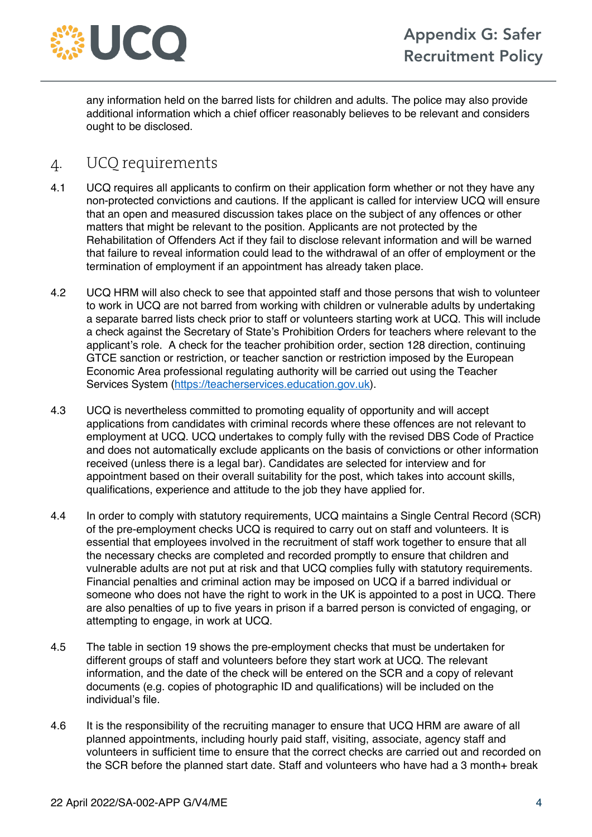

any information held on the barred lists for children and adults. The police may also provide additional information which a chief officer reasonably believes to be relevant and considers ought to be disclosed.

## 4. UCQ requirements

- 4.1 UCQ requires all applicants to confirm on their application form whether or not they have any non-protected convictions and cautions. If the applicant is called for interview UCQ will ensure that an open and measured discussion takes place on the subject of any offences or other matters that might be relevant to the position. Applicants are not protected by the Rehabilitation of Offenders Act if they fail to disclose relevant information and will be warned that failure to reveal information could lead to the withdrawal of an offer of employment or the termination of employment if an appointment has already taken place.
- 4.2 UCQ HRM will also check to see that appointed staff and those persons that wish to volunteer to work in UCQ are not barred from working with children or vulnerable adults by undertaking a separate barred lists check prior to staff or volunteers starting work at UCQ. This will include a check against the Secretary of State's Prohibition Orders for teachers where relevant to the applicant's role. A check for the teacher prohibition order, section 128 direction, continuing GTCE sanction or restriction, or teacher sanction or restriction imposed by the European Economic Area professional regulating authority will be carried out using the Teacher Services System (https://teacherservices.education.gov.uk).
- 4.3 UCQ is nevertheless committed to promoting equality of opportunity and will accept applications from candidates with criminal records where these offences are not relevant to employment at UCQ. UCQ undertakes to comply fully with the revised DBS Code of Practice and does not automatically exclude applicants on the basis of convictions or other information received (unless there is a legal bar). Candidates are selected for interview and for appointment based on their overall suitability for the post, which takes into account skills, qualifications, experience and attitude to the job they have applied for.
- 4.4 In order to comply with statutory requirements, UCQ maintains a Single Central Record (SCR) of the pre-employment checks UCQ is required to carry out on staff and volunteers. It is essential that employees involved in the recruitment of staff work together to ensure that all the necessary checks are completed and recorded promptly to ensure that children and vulnerable adults are not put at risk and that UCQ complies fully with statutory requirements. Financial penalties and criminal action may be imposed on UCQ if a barred individual or someone who does not have the right to work in the UK is appointed to a post in UCQ. There are also penalties of up to five years in prison if a barred person is convicted of engaging, or attempting to engage, in work at UCQ.
- 4.5 The table in section 19 shows the pre-employment checks that must be undertaken for different groups of staff and volunteers before they start work at UCQ. The relevant information, and the date of the check will be entered on the SCR and a copy of relevant documents (e.g. copies of photographic ID and qualifications) will be included on the individual's file.
- 4.6 It is the responsibility of the recruiting manager to ensure that UCQ HRM are aware of all planned appointments, including hourly paid staff, visiting, associate, agency staff and volunteers in sufficient time to ensure that the correct checks are carried out and recorded on the SCR before the planned start date. Staff and volunteers who have had a 3 month+ break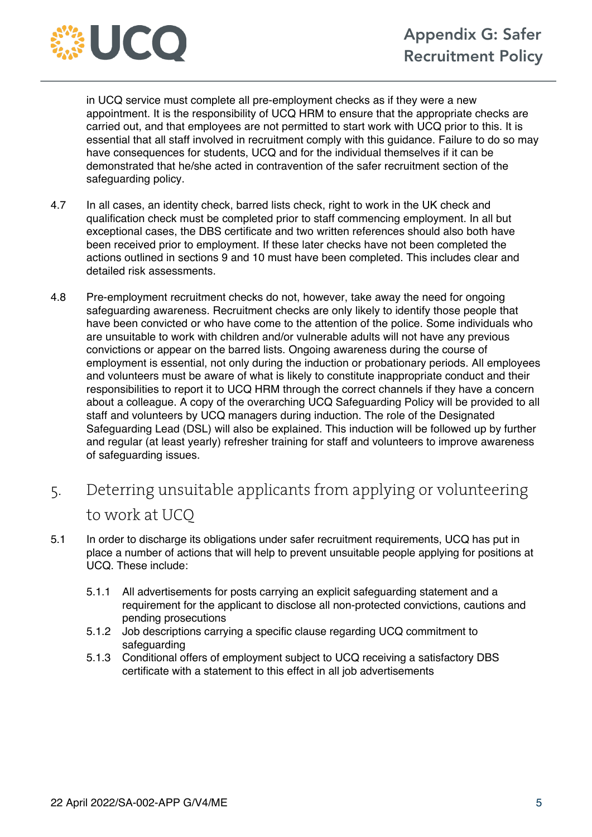

in UCQ service must complete all pre-employment checks as if they were a new appointment. It is the responsibility of UCQ HRM to ensure that the appropriate checks are carried out, and that employees are not permitted to start work with UCQ prior to this. It is essential that all staff involved in recruitment comply with this guidance. Failure to do so may have consequences for students, UCQ and for the individual themselves if it can be demonstrated that he/she acted in contravention of the safer recruitment section of the safeguarding policy.

- 4.7 In all cases, an identity check, barred lists check, right to work in the UK check and qualification check must be completed prior to staff commencing employment. In all but exceptional cases, the DBS certificate and two written references should also both have been received prior to employment. If these later checks have not been completed the actions outlined in sections 9 and 10 must have been completed. This includes clear and detailed risk assessments.
- 4.8 Pre-employment recruitment checks do not, however, take away the need for ongoing safeguarding awareness. Recruitment checks are only likely to identify those people that have been convicted or who have come to the attention of the police. Some individuals who are unsuitable to work with children and/or vulnerable adults will not have any previous convictions or appear on the barred lists. Ongoing awareness during the course of employment is essential, not only during the induction or probationary periods. All employees and volunteers must be aware of what is likely to constitute inappropriate conduct and their responsibilities to report it to UCQ HRM through the correct channels if they have a concern about a colleague. A copy of the overarching UCQ Safeguarding Policy will be provided to all staff and volunteers by UCQ managers during induction. The role of the Designated Safeguarding Lead (DSL) will also be explained. This induction will be followed up by further and regular (at least yearly) refresher training for staff and volunteers to improve awareness of safeguarding issues.
- 5. Deterring unsuitable applicants from applying or volunteering to work at UCQ
- 5.1 In order to discharge its obligations under safer recruitment requirements, UCQ has put in place a number of actions that will help to prevent unsuitable people applying for positions at UCQ. These include:
	- 5.1.1 All advertisements for posts carrying an explicit safeguarding statement and a requirement for the applicant to disclose all non-protected convictions, cautions and pending prosecutions
	- 5.1.2 Job descriptions carrying a specific clause regarding UCQ commitment to safeguarding
	- 5.1.3 Conditional offers of employment subject to UCQ receiving a satisfactory DBS certificate with a statement to this effect in all job advertisements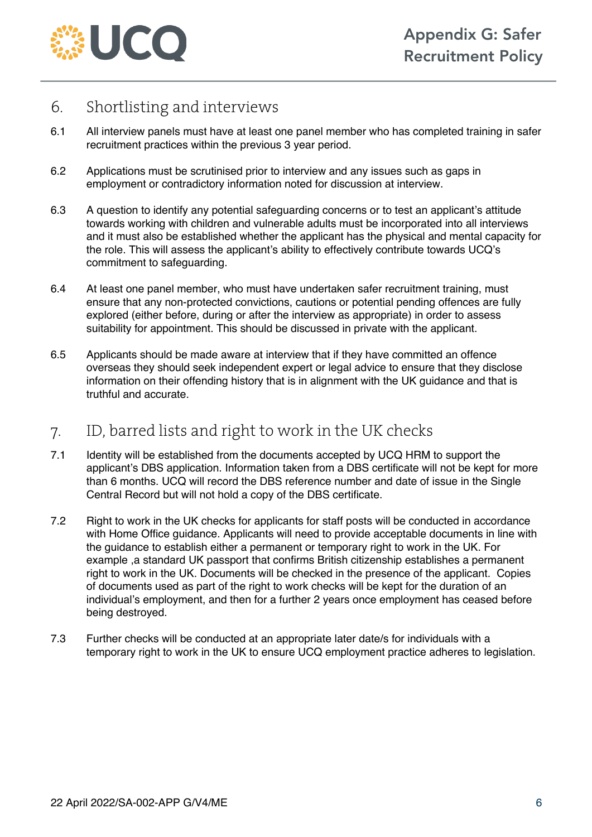

## 6. Shortlisting and interviews

- 6.1 All interview panels must have at least one panel member who has completed training in safer recruitment practices within the previous 3 year period.
- 6.2 Applications must be scrutinised prior to interview and any issues such as gaps in employment or contradictory information noted for discussion at interview.
- 6.3 A question to identify any potential safeguarding concerns or to test an applicant's attitude towards working with children and vulnerable adults must be incorporated into all interviews and it must also be established whether the applicant has the physical and mental capacity for the role. This will assess the applicant's ability to effectively contribute towards UCQ's commitment to safeguarding.
- 6.4 At least one panel member, who must have undertaken safer recruitment training, must ensure that any non-protected convictions, cautions or potential pending offences are fully explored (either before, during or after the interview as appropriate) in order to assess suitability for appointment. This should be discussed in private with the applicant.
- 6.5 Applicants should be made aware at interview that if they have committed an offence overseas they should seek independent expert or legal advice to ensure that they disclose information on their offending history that is in alignment with the UK guidance and that is truthful and accurate.

## 7. ID, barred lists and right to work in the UK checks

- 7.1 Identity will be established from the documents accepted by UCQ HRM to support the applicant's DBS application. Information taken from a DBS certificate will not be kept for more than 6 months. UCQ will record the DBS reference number and date of issue in the Single Central Record but will not hold a copy of the DBS certificate.
- 7.2 Right to work in the UK checks for applicants for staff posts will be conducted in accordance with Home Office guidance. Applicants will need to provide acceptable documents in line with the guidance to establish either a permanent or temporary right to work in the UK. For example ,a standard UK passport that confirms British citizenship establishes a permanent right to work in the UK. Documents will be checked in the presence of the applicant. Copies of documents used as part of the right to work checks will be kept for the duration of an individual's employment, and then for a further 2 years once employment has ceased before being destroyed.
- 7.3 Further checks will be conducted at an appropriate later date/s for individuals with a temporary right to work in the UK to ensure UCQ employment practice adheres to legislation.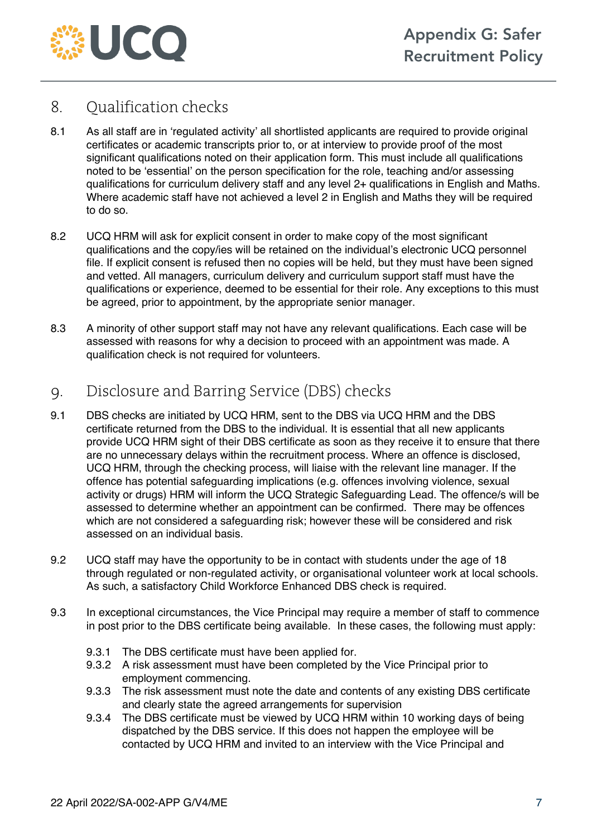

## 8. Qualification checks

- 8.1 As all staff are in 'regulated activity' all shortlisted applicants are required to provide original certificates or academic transcripts prior to, or at interview to provide proof of the most significant qualifications noted on their application form. This must include all qualifications noted to be 'essential' on the person specification for the role, teaching and/or assessing qualifications for curriculum delivery staff and any level 2+ qualifications in English and Maths. Where academic staff have not achieved a level 2 in English and Maths they will be required to do so.
- 8.2 UCQ HRM will ask for explicit consent in order to make copy of the most significant qualifications and the copy/ies will be retained on the individual's electronic UCQ personnel file. If explicit consent is refused then no copies will be held, but they must have been signed and vetted. All managers, curriculum delivery and curriculum support staff must have the qualifications or experience, deemed to be essential for their role. Any exceptions to this must be agreed, prior to appointment, by the appropriate senior manager.
- 8.3 A minority of other support staff may not have any relevant qualifications. Each case will be assessed with reasons for why a decision to proceed with an appointment was made. A qualification check is not required for volunteers.

## 9. Disclosure and Barring Service (DBS) checks

- 9.1 DBS checks are initiated by UCQ HRM, sent to the DBS via UCQ HRM and the DBS certificate returned from the DBS to the individual. It is essential that all new applicants provide UCQ HRM sight of their DBS certificate as soon as they receive it to ensure that there are no unnecessary delays within the recruitment process. Where an offence is disclosed, UCQ HRM, through the checking process, will liaise with the relevant line manager. If the offence has potential safeguarding implications (e.g. offences involving violence, sexual activity or drugs) HRM will inform the UCQ Strategic Safeguarding Lead. The offence/s will be assessed to determine whether an appointment can be confirmed. There may be offences which are not considered a safeguarding risk; however these will be considered and risk assessed on an individual basis.
- 9.2 UCQ staff may have the opportunity to be in contact with students under the age of 18 through regulated or non-regulated activity, or organisational volunteer work at local schools. As such, a satisfactory Child Workforce Enhanced DBS check is required.
- 9.3 In exceptional circumstances, the Vice Principal may require a member of staff to commence in post prior to the DBS certificate being available. In these cases, the following must apply:
	- 9.3.1 The DBS certificate must have been applied for.
	- 9.3.2 A risk assessment must have been completed by the Vice Principal prior to employment commencing.
	- 9.3.3 The risk assessment must note the date and contents of any existing DBS certificate and clearly state the agreed arrangements for supervision
	- 9.3.4 The DBS certificate must be viewed by UCQ HRM within 10 working days of being dispatched by the DBS service. If this does not happen the employee will be contacted by UCQ HRM and invited to an interview with the Vice Principal and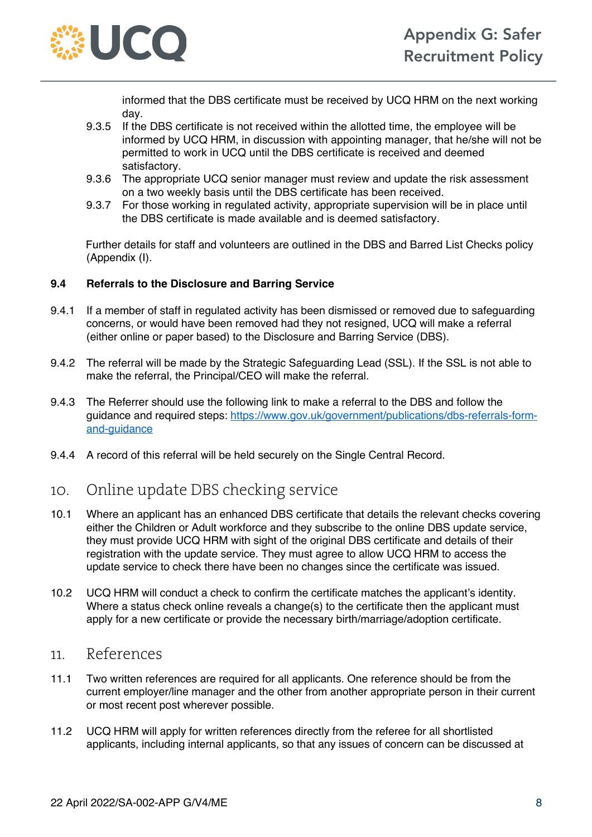

informed that the DBS certificate must be received by UCQ HRM on the next working day.

- 9.3.5 If the DBS certificate is not received within the allotted time, the employee will be informed by UCQ HRM, in discussion with appointing manager, that he/she will not be permitted to work in UCQ until the DBS certificate is received and deemed satisfactory.
- 9.3.6 The appropriate UCQ senior manager must review and update the risk assessment on a two weekly basis until the DBS certificate has been received.
- 9.3.7 For those working in regulated activity, appropriate supervision will be in place until the DBS certificate is made available and is deemed satisfactory.

Further details for staff and volunteers are outlined in the DBS and Barred List Checks policy (Appendix (I).

#### **9.4 Referrals to the Disclosure and Barring Service**

- 9.4.1 If a member of staff in regulated activity has been dismissed or removed due to safeguarding concerns, or would have been removed had they not resigned, UCQ will make a referral (either online or paper based) to the Disclosure and Barring Service (DBS).
- 9.4.2 The referral will be made by the Strategic Safeguarding Lead (SSL). If the SSL is not able to make the referral, the Principal/CEO will make the referral.
- 9.4.3 The Referrer should use the following link to make a referral to the DBS and follow the guidance and required steps: https://www.gov.uk/government/publications/dbs-referrals-formand-guidance
- 9.4.4 A record of this referral will be held securely on the Single Central Record.

#### 10. Online update DBS checking service

- 10.1 Where an applicant has an enhanced DBS certificate that details the relevant checks covering either the Children or Adult workforce and they subscribe to the online DBS update service, they must provide UCQ HRM with sight of the original DBS certificate and details of their registration with the update service. They must agree to allow UCQ HRM to access the update service to check there have been no changes since the certificate was issued.
- 10.2 UCQ HRM will conduct a check to confirm the certificate matches the applicant's identity. Where a status check online reveals a change(s) to the certificate then the applicant must apply for a new certificate or provide the necessary birth/marriage/adoption certificate.

#### 11. References

- 11.1 Two written references are required for all applicants. One reference should be from the current employer/line manager and the other from another appropriate person in their current or most recent post wherever possible.
- 11.2 UCQ HRM will apply for written references directly from the referee for all shortlisted applicants, including internal applicants, so that any issues of concern can be discussed at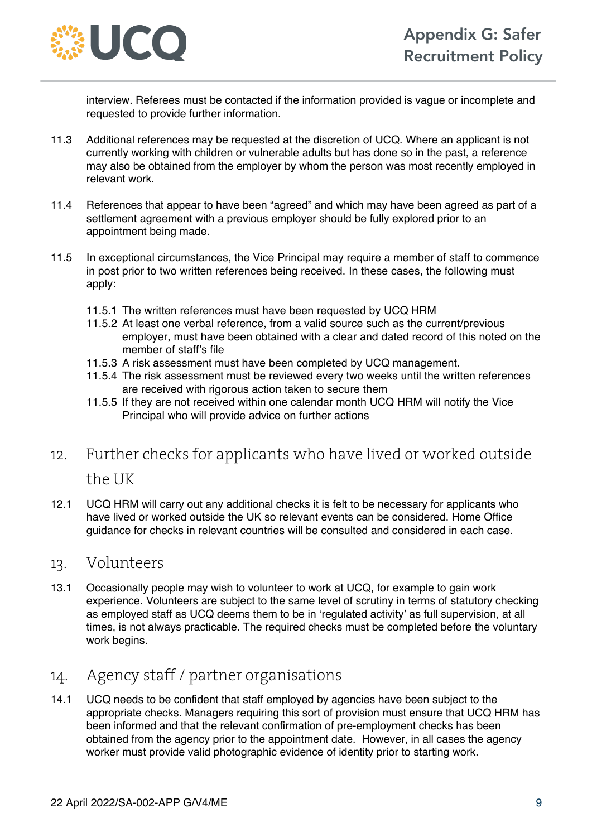

interview. Referees must be contacted if the information provided is vague or incomplete and requested to provide further information.

- 11.3 Additional references may be requested at the discretion of UCQ. Where an applicant is not currently working with children or vulnerable adults but has done so in the past, a reference may also be obtained from the employer by whom the person was most recently employed in relevant work.
- 11.4 References that appear to have been "agreed" and which may have been agreed as part of a settlement agreement with a previous employer should be fully explored prior to an appointment being made.
- 11.5 In exceptional circumstances, the Vice Principal may require a member of staff to commence in post prior to two written references being received. In these cases, the following must apply:
	- 11.5.1 The written references must have been requested by UCQ HRM
	- 11.5.2 At least one verbal reference, from a valid source such as the current/previous employer, must have been obtained with a clear and dated record of this noted on the member of staff's file
	- 11.5.3 A risk assessment must have been completed by UCQ management.
	- 11.5.4 The risk assessment must be reviewed every two weeks until the written references are received with rigorous action taken to secure them
	- 11.5.5 If they are not received within one calendar month UCQ HRM will notify the Vice Principal who will provide advice on further actions
- 12. Further checks for applicants who have lived or worked outside the UK
- 12.1 UCQ HRM will carry out any additional checks it is felt to be necessary for applicants who have lived or worked outside the UK so relevant events can be considered. Home Office guidance for checks in relevant countries will be consulted and considered in each case.

#### 13. Volunteers

13.1 Occasionally people may wish to volunteer to work at UCQ, for example to gain work experience. Volunteers are subject to the same level of scrutiny in terms of statutory checking as employed staff as UCQ deems them to be in 'regulated activity' as full supervision, at all times, is not always practicable. The required checks must be completed before the voluntary work begins.

## 14. Agency staff / partner organisations

14.1 UCQ needs to be confident that staff employed by agencies have been subject to the appropriate checks. Managers requiring this sort of provision must ensure that UCQ HRM has been informed and that the relevant confirmation of pre-employment checks has been obtained from the agency prior to the appointment date. However, in all cases the agency worker must provide valid photographic evidence of identity prior to starting work.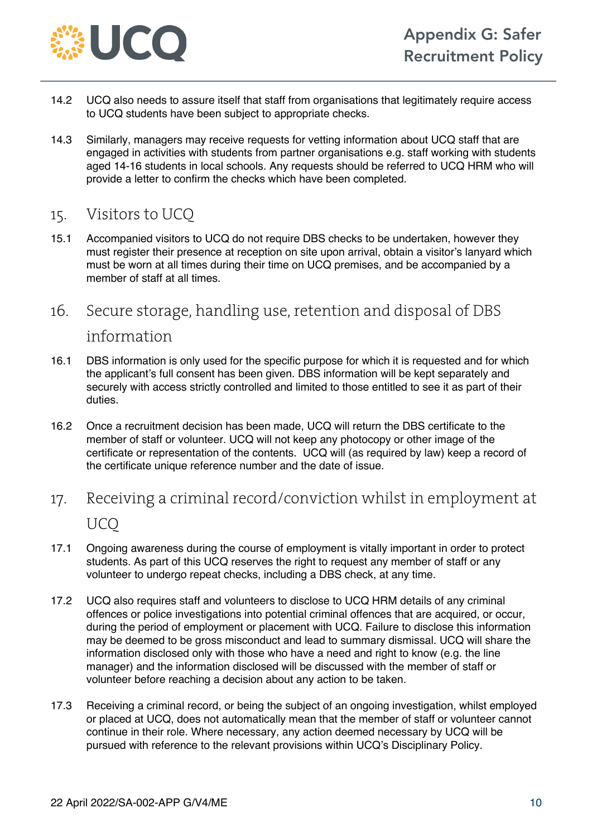

- 14.2 UCQ also needs to assure itself that staff from organisations that legitimately require access to UCQ students have been subject to appropriate checks.
- 14.3 Similarly, managers may receive requests for vetting information about UCQ staff that are engaged in activities with students from partner organisations e.g. staff working with students aged 14-16 students in local schools. Any requests should be referred to UCQ HRM who will provide a letter to confirm the checks which have been completed.
- 15. Visitors to UCQ
- 15.1 Accompanied visitors to UCQ do not require DBS checks to be undertaken, however they must register their presence at reception on site upon arrival, obtain a visitor's lanyard which must be worn at all times during their time on UCQ premises, and be accompanied by a member of staff at all times.
- 16. Secure storage, handling use, retention and disposal of DBS information
- 16.1 DBS information is only used for the specific purpose for which it is requested and for which the applicant's full consent has been given. DBS information will be kept separately and securely with access strictly controlled and limited to those entitled to see it as part of their duties.
- 16.2 Once a recruitment decision has been made, UCQ will return the DBS certificate to the member of staff or volunteer. UCQ will not keep any photocopy or other image of the certificate or representation of the contents. UCQ will (as required by law) keep a record of the certificate unique reference number and the date of issue.
- 17. Receiving a criminal record/conviction whilst in employment at **UCO**
- 17.1 Ongoing awareness during the course of employment is vitally important in order to protect students. As part of this UCQ reserves the right to request any member of staff or any volunteer to undergo repeat checks, including a DBS check, at any time.
- 17.2 UCQ also requires staff and volunteers to disclose to UCQ HRM details of any criminal offences or police investigations into potential criminal offences that are acquired, or occur, during the period of employment or placement with UCQ. Failure to disclose this information may be deemed to be gross misconduct and lead to summary dismissal. UCQ will share the information disclosed only with those who have a need and right to know (e.g. the line manager) and the information disclosed will be discussed with the member of staff or volunteer before reaching a decision about any action to be taken.
- 17.3 Receiving a criminal record, or being the subject of an ongoing investigation, whilst employed or placed at UCQ, does not automatically mean that the member of staff or volunteer cannot continue in their role. Where necessary, any action deemed necessary by UCQ will be pursued with reference to the relevant provisions within UCQ's Disciplinary Policy.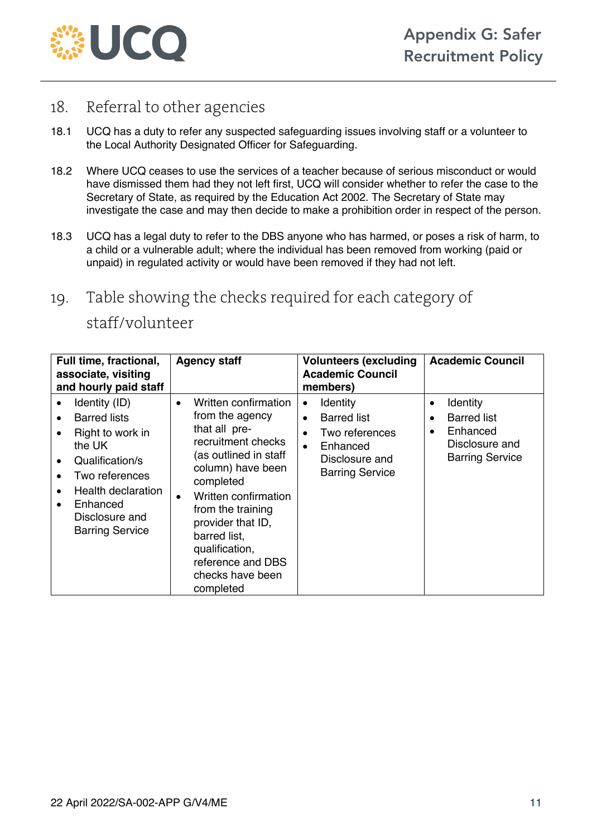

## 18. Referral to other agencies

- 18.1 UCQ has a duty to refer any suspected safeguarding issues involving staff or a volunteer to the Local Authority Designated Officer for Safeguarding.
- 18.2 Where UCQ ceases to use the services of a teacher because of serious misconduct or would have dismissed them had they not left first, UCQ will consider whether to refer the case to the Secretary of State, as required by the Education Act 2002. The Secretary of State may investigate the case and may then decide to make a prohibition order in respect of the person.
- 18.3 UCQ has a legal duty to refer to the DBS anyone who has harmed, or poses a risk of harm, to a child or a vulnerable adult; where the individual has been removed from working (paid or unpaid) in regulated activity or would have been removed if they had not left.
- 19. Table showing the checks required for each category of staff/volunteer

| Full time, fractional,<br>associate, visiting<br>and hourly paid staff |                                                                                                                                                                                       | <b>Agency staff</b>    |                                                                                                                                                                                                                                                                                                     | <b>Volunteers (excluding)</b><br><b>Academic Council</b><br>members) |                                                                                                          |                     | <b>Academic Council</b>                                                                |
|------------------------------------------------------------------------|---------------------------------------------------------------------------------------------------------------------------------------------------------------------------------------|------------------------|-----------------------------------------------------------------------------------------------------------------------------------------------------------------------------------------------------------------------------------------------------------------------------------------------------|----------------------------------------------------------------------|----------------------------------------------------------------------------------------------------------|---------------------|----------------------------------------------------------------------------------------|
| $\bullet$<br>$\bullet$                                                 | Identity (ID)<br><b>Barred lists</b><br>Right to work in<br>the UK<br>Qualification/s<br>Two references<br>Health declaration<br>Enhanced<br>Disclosure and<br><b>Barring Service</b> | $\bullet$<br>$\bullet$ | Written confirmation<br>from the agency<br>that all pre-<br>recruitment checks<br>(as outlined in staff<br>column) have been<br>completed<br>Written confirmation<br>from the training<br>provider that ID,<br>barred list,<br>qualification,<br>reference and DBS<br>checks have been<br>completed | $\bullet$<br>$\bullet$<br>$\bullet$<br>$\bullet$                     | Identity<br><b>Barred list</b><br>Two references<br>Enhanced<br>Disclosure and<br><b>Barring Service</b> | ٠<br>٠<br>$\bullet$ | Identity<br><b>Barred list</b><br>Enhanced<br>Disclosure and<br><b>Barring Service</b> |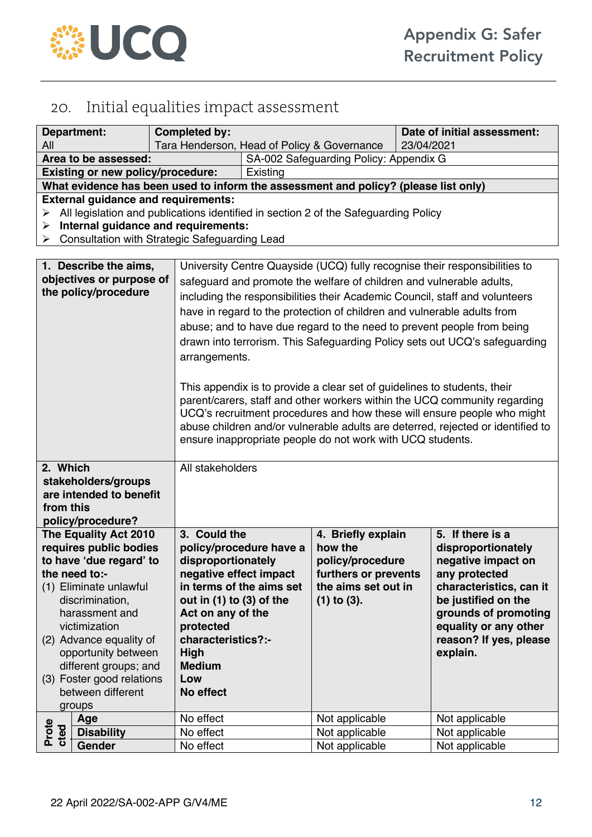

## 20. Initial equalities impact assessment

| <b>Completed by:</b><br><b>Department:</b><br>All                                                                                                                                                                                                                                                                  |                                                                                                                                                                                                                           |                                                                                                                                                                                                   | Date of initial assessment:<br>Tara Henderson, Head of Policy & Governance<br>23/04/2021                                                                                                                                                                                                                                                                                                                                                                                                                                                                                                                                                                                                                                                                                                                                                                  |                                                                                                                      |  |                                                                                                                                                                                                                        |  |  |
|--------------------------------------------------------------------------------------------------------------------------------------------------------------------------------------------------------------------------------------------------------------------------------------------------------------------|---------------------------------------------------------------------------------------------------------------------------------------------------------------------------------------------------------------------------|---------------------------------------------------------------------------------------------------------------------------------------------------------------------------------------------------|-----------------------------------------------------------------------------------------------------------------------------------------------------------------------------------------------------------------------------------------------------------------------------------------------------------------------------------------------------------------------------------------------------------------------------------------------------------------------------------------------------------------------------------------------------------------------------------------------------------------------------------------------------------------------------------------------------------------------------------------------------------------------------------------------------------------------------------------------------------|----------------------------------------------------------------------------------------------------------------------|--|------------------------------------------------------------------------------------------------------------------------------------------------------------------------------------------------------------------------|--|--|
| Area to be assessed:                                                                                                                                                                                                                                                                                               |                                                                                                                                                                                                                           |                                                                                                                                                                                                   | SA-002 Safeguarding Policy: Appendix G                                                                                                                                                                                                                                                                                                                                                                                                                                                                                                                                                                                                                                                                                                                                                                                                                    |                                                                                                                      |  |                                                                                                                                                                                                                        |  |  |
|                                                                                                                                                                                                                                                                                                                    | <b>Existing or new policy/procedure:</b>                                                                                                                                                                                  |                                                                                                                                                                                                   | Existing                                                                                                                                                                                                                                                                                                                                                                                                                                                                                                                                                                                                                                                                                                                                                                                                                                                  |                                                                                                                      |  |                                                                                                                                                                                                                        |  |  |
|                                                                                                                                                                                                                                                                                                                    |                                                                                                                                                                                                                           |                                                                                                                                                                                                   |                                                                                                                                                                                                                                                                                                                                                                                                                                                                                                                                                                                                                                                                                                                                                                                                                                                           | What evidence has been used to inform the assessment and policy? (please list only)                                  |  |                                                                                                                                                                                                                        |  |  |
| ➤<br>➤<br>≻                                                                                                                                                                                                                                                                                                        | <b>External guidance and requirements:</b><br>All legislation and publications identified in section 2 of the Safeguarding Policy<br>Internal guidance and requirements:<br>Consultation with Strategic Safeguarding Lead |                                                                                                                                                                                                   |                                                                                                                                                                                                                                                                                                                                                                                                                                                                                                                                                                                                                                                                                                                                                                                                                                                           |                                                                                                                      |  |                                                                                                                                                                                                                        |  |  |
|                                                                                                                                                                                                                                                                                                                    |                                                                                                                                                                                                                           |                                                                                                                                                                                                   |                                                                                                                                                                                                                                                                                                                                                                                                                                                                                                                                                                                                                                                                                                                                                                                                                                                           |                                                                                                                      |  |                                                                                                                                                                                                                        |  |  |
| 1. Describe the aims,<br>objectives or purpose of<br>the policy/procedure<br>arrangements.                                                                                                                                                                                                                         |                                                                                                                                                                                                                           |                                                                                                                                                                                                   | University Centre Quayside (UCQ) fully recognise their responsibilities to<br>safeguard and promote the welfare of children and vulnerable adults,<br>including the responsibilities their Academic Council, staff and volunteers<br>have in regard to the protection of children and vulnerable adults from<br>abuse; and to have due regard to the need to prevent people from being<br>drawn into terrorism. This Safeguarding Policy sets out UCQ's safeguarding<br>This appendix is to provide a clear set of guidelines to students, their<br>parent/carers, staff and other workers within the UCQ community regarding<br>UCQ's recruitment procedures and how these will ensure people who might<br>abuse children and/or vulnerable adults are deterred, rejected or identified to<br>ensure inappropriate people do not work with UCQ students. |                                                                                                                      |  |                                                                                                                                                                                                                        |  |  |
| 2. Which<br>All stakeholders<br>stakeholders/groups<br>are intended to benefit<br>from this<br>policy/procedure?                                                                                                                                                                                                   |                                                                                                                                                                                                                           |                                                                                                                                                                                                   |                                                                                                                                                                                                                                                                                                                                                                                                                                                                                                                                                                                                                                                                                                                                                                                                                                                           |                                                                                                                      |  |                                                                                                                                                                                                                        |  |  |
| The Equality Act 2010<br>requires public bodies<br>to have 'due regard' to<br>the need to:-<br>(1) Eliminate unlawful<br>discrimination,<br>harassment and<br>victimization<br>(2) Advance equality of<br>opportunity between<br>different groups; and<br>(3) Foster good relations<br>between different<br>groups |                                                                                                                                                                                                                           | 3. Could the<br>disproportionately<br>negative effect impact<br>out in $(1)$ to $(3)$ of the<br>Act on any of the<br>protected<br>characteristics?:-<br>High<br><b>Medium</b><br>Low<br>No effect | policy/procedure have a<br>in terms of the aims set                                                                                                                                                                                                                                                                                                                                                                                                                                                                                                                                                                                                                                                                                                                                                                                                       | 4. Briefly explain<br>how the<br>policy/procedure<br>furthers or prevents<br>the aims set out in<br>$(1)$ to $(3)$ . |  | 5. If there is a<br>disproportionately<br>negative impact on<br>any protected<br>characteristics, can it<br>be justified on the<br>grounds of promoting<br>equality or any other<br>reason? If yes, please<br>explain. |  |  |
|                                                                                                                                                                                                                                                                                                                    | Age                                                                                                                                                                                                                       | No effect                                                                                                                                                                                         |                                                                                                                                                                                                                                                                                                                                                                                                                                                                                                                                                                                                                                                                                                                                                                                                                                                           | Not applicable                                                                                                       |  | Not applicable                                                                                                                                                                                                         |  |  |
| Prote<br>cted                                                                                                                                                                                                                                                                                                      | <b>Disability</b>                                                                                                                                                                                                         | No effect                                                                                                                                                                                         |                                                                                                                                                                                                                                                                                                                                                                                                                                                                                                                                                                                                                                                                                                                                                                                                                                                           | Not applicable                                                                                                       |  | Not applicable                                                                                                                                                                                                         |  |  |
|                                                                                                                                                                                                                                                                                                                    | Gender                                                                                                                                                                                                                    | No effect                                                                                                                                                                                         |                                                                                                                                                                                                                                                                                                                                                                                                                                                                                                                                                                                                                                                                                                                                                                                                                                                           | Not applicable                                                                                                       |  | Not applicable                                                                                                                                                                                                         |  |  |